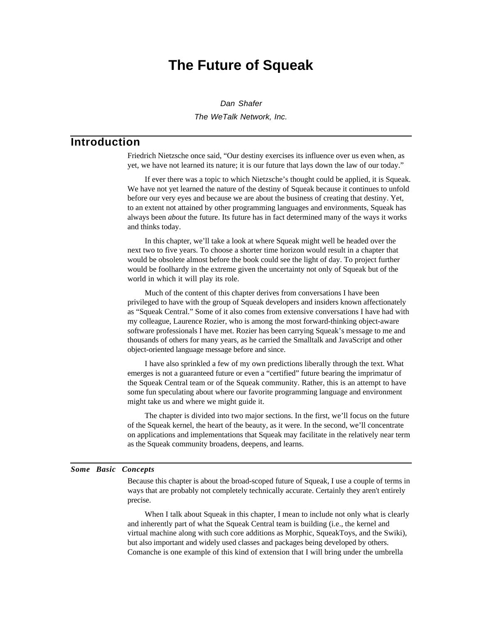*Dan Shafer*

*The WeTalk Network, Inc.*

## **Introduction**

Friedrich Nietzsche once said, "Our destiny exercises its influence over us even when, as yet, we have not learned its nature; it is our future that lays down the law of our today."

If ever there was a topic to which Nietzsche's thought could be applied, it is Squeak. We have not yet learned the nature of the destiny of Squeak because it continues to unfold before our very eyes and because we are about the business of creating that destiny. Yet, to an extent not attained by other programming languages and environments, Squeak has always been *about* the future. Its future has in fact determined many of the ways it works and thinks today.

In this chapter, we'll take a look at where Squeak might well be headed over the next two to five years. To choose a shorter time horizon would result in a chapter that would be obsolete almost before the book could see the light of day. To project further would be foolhardy in the extreme given the uncertainty not only of Squeak but of the world in which it will play its role.

Much of the content of this chapter derives from conversations I have been privileged to have with the group of Squeak developers and insiders known affectionately as "Squeak Central." Some of it also comes from extensive conversations I have had with my colleague, Laurence Rozier, who is among the most forward-thinking object-aware software professionals I have met. Rozier has been carrying Squeak's message to me and thousands of others for many years, as he carried the Smalltalk and JavaScript and other object-oriented language message before and since.

I have also sprinkled a few of my own predictions liberally through the text. What emerges is not a guaranteed future or even a "certified" future bearing the imprimatur of the Squeak Central team or of the Squeak community. Rather, this is an attempt to have some fun speculating about where our favorite programming language and environment might take us and where we might guide it.

The chapter is divided into two major sections. In the first, we'll focus on the future of the Squeak kernel, the heart of the beauty, as it were. In the second, we'll concentrate on applications and implementations that Squeak may facilitate in the relatively near term as the Squeak community broadens, deepens, and learns.

## *Some Basic Concepts*

Because this chapter is about the broad-scoped future of Squeak, I use a couple of terms in ways that are probably not completely technically accurate. Certainly they aren't entirely precise.

When I talk about Squeak in this chapter, I mean to include not only what is clearly and inherently part of what the Squeak Central team is building (i.e., the kernel and virtual machine along with such core additions as Morphic, SqueakToys, and the Swiki), but also important and widely used classes and packages being developed by others. Comanche is one example of this kind of extension that I will bring under the umbrella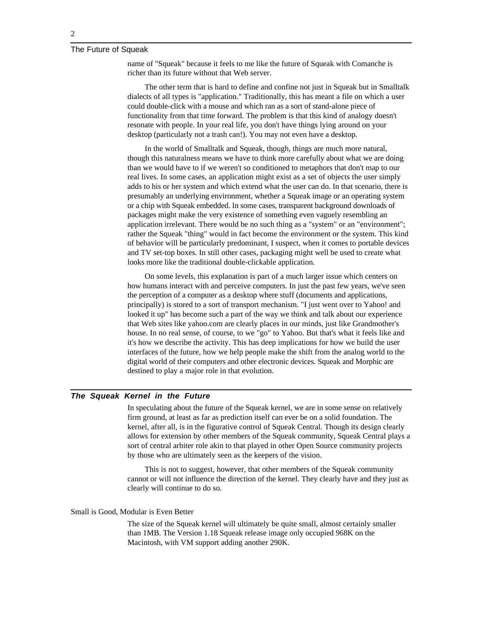name of "Squeak" because it feels to me like the future of Squeak with Comanche is richer than its future without that Web server.

The other term that is hard to define and confine not just in Squeak but in Smalltalk dialects of all types is "application." Traditionally, this has meant a file on which a user could double-click with a mouse and which ran as a sort of stand-alone piece of functionality from that time forward. The problem is that this kind of analogy doesn't resonate with people. In your real life, you don't have things lying around on your desktop (particularly not a trash can!). You may not even have a desktop.

In the world of Smalltalk and Squeak, though, things are much more natural, though this naturalness means we have to think more carefully about what we are doing than we would have to if we weren't so conditioned to metaphors that don't map to our real lives. In some cases, an application might exist as a set of objects the user simply adds to his or her system and which extend what the user can do. In that scenario, there is presumably an underlying environment, whether a Squeak image or an operating system or a chip with Squeak embedded. In some cases, transparent background downloads of packages might make the very existence of something even vaguely resembling an application irrelevant. There would be no such thing as a "system" or an "environment"; rather the Squeak "thing" would in fact become the environment or the system. This kind of behavior will be particularly predominant, I suspect, when it comes to portable devices and TV set-top boxes. In still other cases, packaging might well be used to create what looks more like the traditional double-clickable application.

On some levels, this explanation is part of a much larger issue which centers on how humans interact with and perceive computers. In just the past few years, we've seen the perception of a computer as a desktop where stuff (documents and applications, principally) is stored to a sort of transport mechanism. "I just went over to Yahoo! and looked it up" has become such a part of the way we think and talk about our experience that Web sites like yahoo.com are clearly places in our minds, just like Grandmother's house. In no real sense, of course, to we "go" to Yahoo. But that's what it feels like and it's how we describe the activity. This has deep implications for how we build the user interfaces of the future, how we help people make the shift from the analog world to the digital world of their computers and other electronic devices. Squeak and Morphic are destined to play a major role in that evolution.

## **The Squeak Kernel in the Future**

In speculating about the future of the Squeak kernel, we are in some sense on relatively firm ground, at least as far as prediction itself can ever be on a solid foundation. The kernel, after all, is in the figurative control of Squeak Central. Though its design clearly allows for extension by other members of the Squeak community, Squeak Central plays a sort of central arbiter role akin to that played in other Open Source community projects by those who are ultimately seen as the keepers of the vision.

This is not to suggest, however, that other members of the Squeak community cannot or will not influence the direction of the kernel. They clearly have and they just as clearly will continue to do so.

#### Small is Good, Modular is Even Better

The size of the Squeak kernel will ultimately be quite small, almost certainly smaller than 1MB. The Version 1.18 Squeak release image only occupied 968K on the Macintosh, with VM support adding another 290K.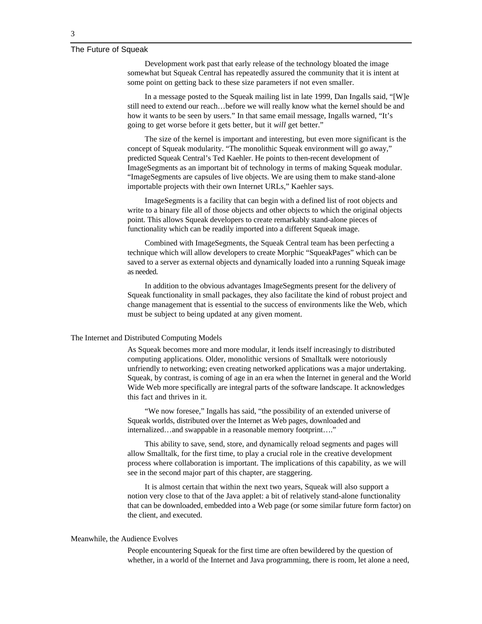Development work past that early release of the technology bloated the image somewhat but Squeak Central has repeatedly assured the community that it is intent at some point on getting back to these size parameters if not even smaller.

In a message posted to the Squeak mailing list in late 1999, Dan Ingalls said, "[W]e still need to extend our reach…before we will really know what the kernel should be and how it wants to be seen by users." In that same email message, Ingalls warned, "It's going to get worse before it gets better, but it *will* get better."

The size of the kernel is important and interesting, but even more significant is the concept of Squeak modularity. "The monolithic Squeak environment will go away," predicted Squeak Central's Ted Kaehler. He points to then-recent development of ImageSegments as an important bit of technology in terms of making Squeak modular. "ImageSegments are capsules of live objects. We are using them to make stand-alone importable projects with their own Internet URLs," Kaehler says.

ImageSegments is a facility that can begin with a defined list of root objects and write to a binary file all of those objects and other objects to which the original objects point. This allows Squeak developers to create remarkably stand-alone pieces of functionality which can be readily imported into a different Squeak image.

Combined with ImageSegments, the Squeak Central team has been perfecting a technique which will allow developers to create Morphic "SqueakPages" which can be saved to a server as external objects and dynamically loaded into a running Squeak image as needed.

In addition to the obvious advantages ImageSegments present for the delivery of Squeak functionality in small packages, they also facilitate the kind of robust project and change management that is essential to the success of environments like the Web, which must be subject to being updated at any given moment.

#### The Internet and Distributed Computing Models

As Squeak becomes more and more modular, it lends itself increasingly to distributed computing applications. Older, monolithic versions of Smalltalk were notoriously unfriendly to networking; even creating networked applications was a major undertaking. Squeak, by contrast, is coming of age in an era when the Internet in general and the World Wide Web more specifically are integral parts of the software landscape. It acknowledges this fact and thrives in it.

"We now foresee," Ingalls has said, "the possibility of an extended universe of Squeak worlds, distributed over the Internet as Web pages, downloaded and internalized…and swappable in a reasonable memory footprint…."

This ability to save, send, store, and dynamically reload segments and pages will allow Smalltalk, for the first time, to play a crucial role in the creative development process where collaboration is important. The implications of this capability, as we will see in the second major part of this chapter, are staggering.

It is almost certain that within the next two years, Squeak will also support a notion very close to that of the Java applet: a bit of relatively stand-alone functionality that can be downloaded, embedded into a Web page (or some similar future form factor) on the client, and executed.

#### Meanwhile, the Audience Evolves

People encountering Squeak for the first time are often bewildered by the question of whether, in a world of the Internet and Java programming, there is room, let alone a need,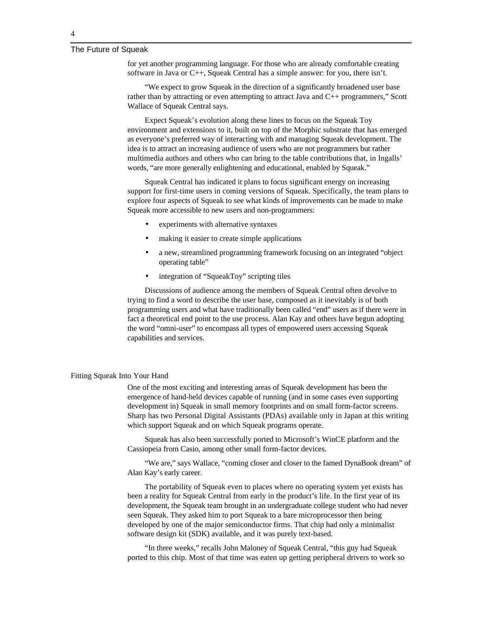for yet another programming language. For those who are already comfortable creating software in Java or C++, Squeak Central has a simple answer: for you, there isn't.

"We expect to grow Squeak in the direction of a significantly broadened user base rather than by attracting or even attempting to attract Java and C++ programmers," Scott Wallace of Squeak Central says.

Expect Squeak's evolution along these lines to focus on the Squeak Toy environment and extensions to it, built on top of the Morphic substrate that has emerged as everyone's preferred way of interacting with and managing Squeak development. The idea is to attract an increasing audience of users who are not programmers but rather multimedia authors and others who can bring to the table contributions that, in Ingalls' words, "are more generally enlightening and educational, enabled by Squeak."

Squeak Central has indicated it plans to focus significant energy on increasing support for first-time users in coming versions of Squeak. Specifically, the team plans to explore four aspects of Squeak to see what kinds of improvements can be made to make Squeak more accessible to new users and non-programmers:

- experiments with alternative syntaxes
- making it easier to create simple applications
- a new, streamlined programming framework focusing on an integrated "object" operating table"
- integration of "SqueakToy" scripting tiles

Discussions of audience among the members of Squeak Central often devolve to trying to find a word to describe the user base, composed as it inevitably is of both programming users and what have traditionally been called "end" users as if there were in fact a theoretical end point to the use process. Alan Kay and others have begun adopting the word "omni-user" to encompass all types of empowered users accessing Squeak capabilities and services.

#### Fitting Squeak Into Your Hand

One of the most exciting and interesting areas of Squeak development has been the emergence of hand-held devices capable of running (and in some cases even supporting development in) Squeak in small memory footprints and on small form-factor screens. Sharp has two Personal Digital Assistants (PDAs) available only in Japan at this writing which support Squeak and on which Squeak programs operate.

Squeak has also been successfully ported to Microsoft's WinCE platform and the Cassiopeia from Casio, among other small form-factor devices.

"We are," says Wallace, "coming closer and closer to the famed DynaBook dream" of Alan Kay's early career.

The portability of Squeak even to places where no operating system yet exists has been a reality for Squeak Central from early in the product's life. In the first year of its development, the Squeak team brought in an undergraduate college student who had never seen Squeak. They asked him to port Squeak to a bare microprocessor then being developed by one of the major semiconductor firms. That chip had only a minimalist software design kit (SDK) available, and it was purely text-based.

"In three weeks," recalls John Maloney of Squeak Central, "this guy had Squeak ported to this chip. Most of that time was eaten up getting peripheral drivers to work so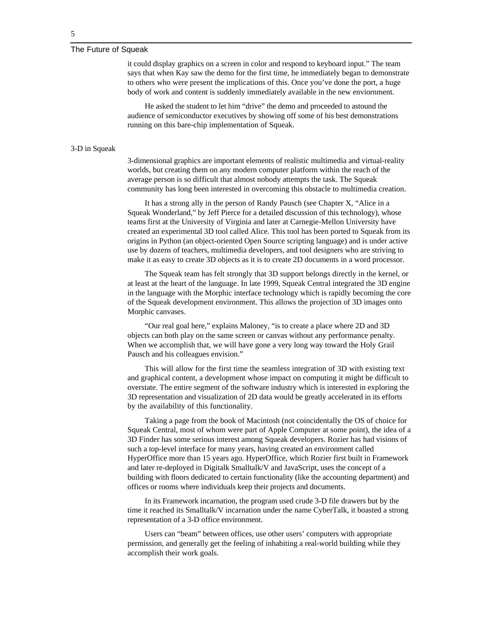it could display graphics on a screen in color and respond to keyboard input." The team says that when Kay saw the demo for the first time, he immediately began to demonstrate to others who were present the implications of this. Once you've done the port, a huge body of work and content is suddenly immediately available in the new enviornment.

He asked the student to let him "drive" the demo and proceeded to astound the audience of semiconductor executives by showing off some of his best demonstrations running on this bare-chip implementation of Squeak.

#### 3-D in Squeak

3-dimensional graphics are important elements of realistic multimedia and virtual-reality worlds, but creating them on any modern computer platform within the reach of the average person is so difficult that almost nobody attempts the task. The Squeak community has long been interested in overcoming this obstacle to multimedia creation.

It has a strong ally in the person of Randy Pausch (see Chapter X, "Alice in a Squeak Wonderland," by Jeff Pierce for a detailed discussion of this technology), whose teams first at the University of Virginia and later at Carnegie-Mellon University have created an experimental 3D tool called Alice. This tool has been ported to Squeak from its origins in Python (an object-oriented Open Source scripting language) and is under active use by dozens of teachers, multimedia developers, and tool designers who are striving to make it as easy to create 3D objects as it is to create 2D documents in a word processor.

The Squeak team has felt strongly that 3D support belongs directly in the kernel, or at least at the heart of the language. In late 1999, Squeak Central integrated the 3D engine in the language with the Morphic interface technology which is rapidly becoming the core of the Squeak development environment. This allows the projection of 3D images onto Morphic canvases.

"Our real goal here," explains Maloney, "is to create a place where 2D and 3D objects can both play on the same screen or canvas without any performance penalty. When we accomplish that, we will have gone a very long way toward the Holy Grail Pausch and his colleagues envision."

This will allow for the first time the seamless integration of 3D with existing text and graphical content, a development whose impact on computing it might be difficult to overstate. The entire segment of the software industry which is interested in exploring the 3D representation and visualization of 2D data would be greatly accelerated in its efforts by the availability of this functionality.

Taking a page from the book of Macintosh (not coincidentally the OS of choice for Squeak Central, most of whom were part of Apple Computer at some point), the idea of a 3D Finder has some serious interest among Squeak developers. Rozier has had visions of such a top-level interface for many years, having created an environment called HyperOffice more than 15 years ago. HyperOffice, which Rozier first built in Framework and later re-deployed in Digitalk Smalltalk/V and JavaScript, uses the concept of a building with floors dedicated to certain functionality (like the accounting department) and offices or rooms where individuals keep their projects and documents.

In its Framework incarnation, the program used crude 3-D file drawers but by the time it reached its Smalltalk/V incarnation under the name CyberTalk, it boasted a strong representation of a 3-D office environment.

Users can "beam" between offices, use other users' computers with appropriate permission, and generally get the feeling of inhabiting a real-world building while they accomplish their work goals.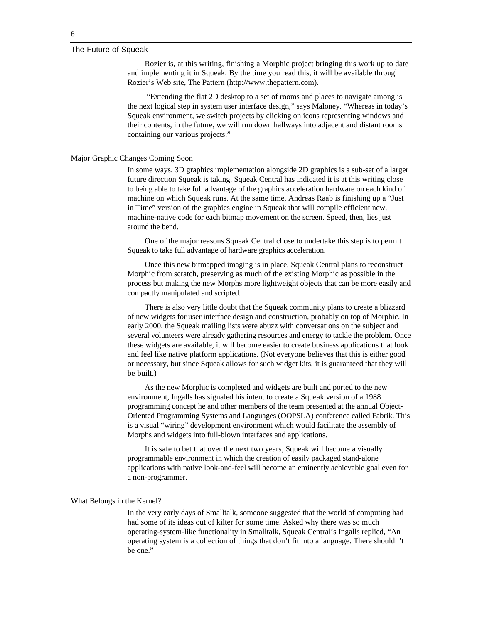Rozier is, at this writing, finishing a Morphic project bringing this work up to date and implementing it in Squeak. By the time you read this, it will be available through Rozier's Web site, The Pattern (http://www.thepattern.com).

 "Extending the flat 2D desktop to a set of rooms and places to navigate among is the next logical step in system user interface design," says Maloney. "Whereas in today's Squeak environment, we switch projects by clicking on icons representing windows and their contents, in the future, we will run down hallways into adjacent and distant rooms containing our various projects."

#### Major Graphic Changes Coming Soon

In some ways, 3D graphics implementation alongside 2D graphics is a sub-set of a larger future direction Squeak is taking. Squeak Central has indicated it is at this writing close to being able to take full advantage of the graphics acceleration hardware on each kind of machine on which Squeak runs. At the same time, Andreas Raab is finishing up a "Just in Time" version of the graphics engine in Squeak that will compile efficient new, machine-native code for each bitmap movement on the screen. Speed, then, lies just around the bend.

One of the major reasons Squeak Central chose to undertake this step is to permit Squeak to take full advantage of hardware graphics acceleration.

Once this new bitmapped imaging is in place, Squeak Central plans to reconstruct Morphic from scratch, preserving as much of the existing Morphic as possible in the process but making the new Morphs more lightweight objects that can be more easily and compactly manipulated and scripted.

There is also very little doubt that the Squeak community plans to create a blizzard of new widgets for user interface design and construction, probably on top of Morphic. In early 2000, the Squeak mailing lists were abuzz with conversations on the subject and several volunteers were already gathering resources and energy to tackle the problem. Once these widgets are available, it will become easier to create business applications that look and feel like native platform applications. (Not everyone believes that this is either good or necessary, but since Squeak allows for such widget kits, it is guaranteed that they will be built.)

As the new Morphic is completed and widgets are built and ported to the new environment, Ingalls has signaled his intent to create a Squeak version of a 1988 programming concept he and other members of the team presented at the annual Object-Oriented Programming Systems and Languages (OOPSLA) conference called Fabrik. This is a visual "wiring" development environment which would facilitate the assembly of Morphs and widgets into full-blown interfaces and applications.

It is safe to bet that over the next two years, Squeak will become a visually programmable environment in which the creation of easily packaged stand-alone applications with native look-and-feel will become an eminently achievable goal even for a non-programmer.

#### What Belongs in the Kernel?

In the very early days of Smalltalk, someone suggested that the world of computing had had some of its ideas out of kilter for some time. Asked why there was so much operating-system-like functionality in Smalltalk, Squeak Central's Ingalls replied, "An operating system is a collection of things that don't fit into a language. There shouldn't be one."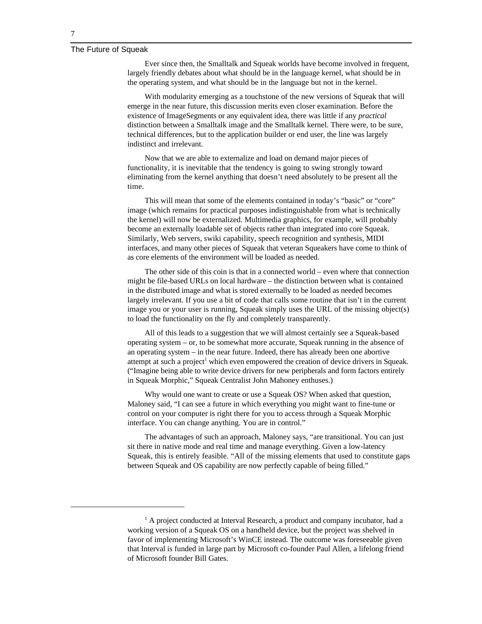Ever since then, the Smalltalk and Squeak worlds have become involved in frequent, largely friendly debates about what should be in the language kernel, what should be in the operating system, and what should be in the language but not in the kernel.

With modularity emerging as a touchstone of the new versions of Squeak that will emerge in the near future, this discussion merits even closer examination. Before the existence of ImageSegments or any equivalent idea, there was little if any *practical* distinction between a Smalltalk image and the Smalltalk kernel. There were, to be sure, technical differences, but to the application builder or end user, the line was largely indistinct and irrelevant.

Now that we are able to externalize and load on demand major pieces of functionality, it is inevitable that the tendency is going to swing strongly toward eliminating from the kernel anything that doesn't need absolutely to be present all the time.

This will mean that some of the elements contained in today's "basic" or "core" image (which remains for practical purposes indistinguishable from what is technically the kernel) will now be externalized. Multimedia graphics, for example, will probably become an externally loadable set of objects rather than integrated into core Squeak. Similarly, Web servers, swiki capability, speech recognition and synthesis, MIDI interfaces, and many other pieces of Squeak that veteran Squeakers have come to think of as core elements of the environment will be loaded as needed.

The other side of this coin is that in a connected world – even where that connection might be file-based URLs on local hardware – the distinction between what is contained in the distributed image and what is stored externally to be loaded as needed becomes largely irrelevant. If you use a bit of code that calls some routine that isn't in the current image you or your user is running, Squeak simply uses the URL of the missing object(s) to load the functionality on the fly and completely transparently.

All of this leads to a suggestion that we will almost certainly see a Squeak-based operating system – or, to be somewhat more accurate, Squeak running in the absence of an operating system – in the near future. Indeed, there has already been one abortive attempt at such a project<sup>1</sup> which even empowered the creation of device drivers in Squeak. ("Imagine being able to write device drivers for new peripherals and form factors entirely in Squeak Morphic," Squeak Centralist John Mahoney enthuses.)

Why would one want to create or use a Squeak OS? When asked that question, Maloney said, "I can see a future in which everything you might want to fine-tune or control on your computer is right there for you to access through a Squeak Morphic interface. You can change anything. You are in control."

The advantages of such an approach, Maloney says, "are transitional. You can just sit there in native mode and real time and manage everything. Given a low-latency Squeak, this is entirely feasible. "All of the missing elements that used to constitute gaps between Squeak and OS capability are now perfectly capable of being filled."

 $\overline{a}$ 

<sup>&</sup>lt;sup>1</sup> A project conducted at Interval Research, a product and company incubator, had a working version of a Squeak OS on a handheld device, but the project was shelved in favor of implementing Microsoft's WinCE instead. The outcome was foreseeable given that Interval is funded in large part by Microsoft co-founder Paul Allen, a lifelong friend of Microsoft founder Bill Gates.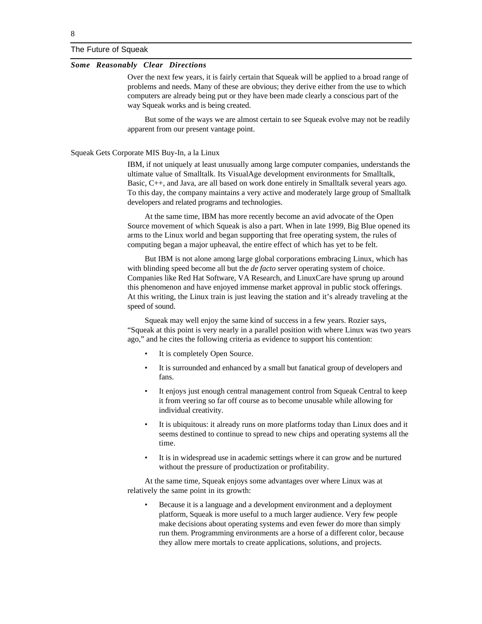## *Some Reasonably Clear Directions*

Over the next few years, it is fairly certain that Squeak will be applied to a broad range of problems and needs. Many of these are obvious; they derive either from the use to which computers are already being put or they have been made clearly a conscious part of the way Squeak works and is being created.

But some of the ways we are almost certain to see Squeak evolve may not be readily apparent from our present vantage point.

## Squeak Gets Corporate MIS Buy-In, a la Linux

IBM, if not uniquely at least unusually among large computer companies, understands the ultimate value of Smalltalk. Its VisualAge development environments for Smalltalk, Basic, C++, and Java, are all based on work done entirely in Smalltalk several years ago. To this day, the company maintains a very active and moderately large group of Smalltalk developers and related programs and technologies.

At the same time, IBM has more recently become an avid advocate of the Open Source movement of which Squeak is also a part. When in late 1999, Big Blue opened its arms to the Linux world and began supporting that free operating system, the rules of computing began a major upheaval, the entire effect of which has yet to be felt.

But IBM is not alone among large global corporations embracing Linux, which has with blinding speed become all but the *de facto* server operating system of choice. Companies like Red Hat Software, VA Research, and LinuxCare have sprung up around this phenomenon and have enjoyed immense market approval in public stock offerings. At this writing, the Linux train is just leaving the station and it's already traveling at the speed of sound.

Squeak may well enjoy the same kind of success in a few years. Rozier says, "Squeak at this point is very nearly in a parallel position with where Linux was two years ago," and he cites the following criteria as evidence to support his contention:

- It is completely Open Source.
- It is surrounded and enhanced by a small but fanatical group of developers and fans.
- It enjoys just enough central management control from Squeak Central to keep it from veering so far off course as to become unusable while allowing for individual creativity.
- It is ubiquitous: it already runs on more platforms today than Linux does and it seems destined to continue to spread to new chips and operating systems all the time.
- It is in widespread use in academic settings where it can grow and be nurtured without the pressure of productization or profitability.

At the same time, Squeak enjoys some advantages over where Linux was at relatively the same point in its growth:

• Because it is a language and a development environment and a deployment platform, Squeak is more useful to a much larger audience. Very few people make decisions about operating systems and even fewer do more than simply run them. Programming environments are a horse of a different color, because they allow mere mortals to create applications, solutions, and projects.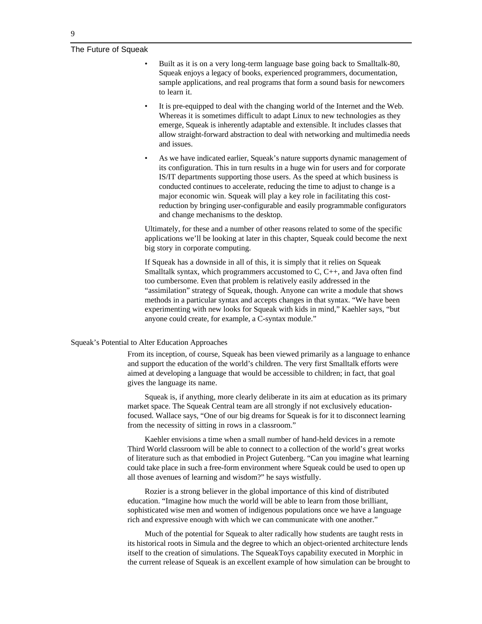- Built as it is on a very long-term language base going back to Smalltalk-80, Squeak enjoys a legacy of books, experienced programmers, documentation, sample applications, and real programs that form a sound basis for newcomers to learn it.
- It is pre-equipped to deal with the changing world of the Internet and the Web. Whereas it is sometimes difficult to adapt Linux to new technologies as they emerge, Squeak is inherently adaptable and extensible. It includes classes that allow straight-forward abstraction to deal with networking and multimedia needs and issues.
- As we have indicated earlier, Squeak's nature supports dynamic management of its configuration. This in turn results in a huge win for users and for corporate IS/IT departments supporting those users. As the speed at which business is conducted continues to accelerate, reducing the time to adjust to change is a major economic win. Squeak will play a key role in facilitating this costreduction by bringing user-configurable and easily programmable configurators and change mechanisms to the desktop.

Ultimately, for these and a number of other reasons related to some of the specific applications we'll be looking at later in this chapter, Squeak could become the next big story in corporate computing.

If Squeak has a downside in all of this, it is simply that it relies on Squeak Smalltalk syntax, which programmers accustomed to C, C++, and Java often find too cumbersome. Even that problem is relatively easily addressed in the "assimilation" strategy of Squeak, though. Anyone can write a module that shows methods in a particular syntax and accepts changes in that syntax. "We have been experimenting with new looks for Squeak with kids in mind," Kaehler says, "but anyone could create, for example, a C-syntax module."

#### Squeak's Potential to Alter Education Approaches

From its inception, of course, Squeak has been viewed primarily as a language to enhance and support the education of the world's children. The very first Smalltalk efforts were aimed at developing a language that would be accessible to children; in fact, that goal gives the language its name.

Squeak is, if anything, more clearly deliberate in its aim at education as its primary market space. The Squeak Central team are all strongly if not exclusively educationfocused. Wallace says, "One of our big dreams for Squeak is for it to disconnect learning from the necessity of sitting in rows in a classroom."

Kaehler envisions a time when a small number of hand-held devices in a remote Third World classroom will be able to connect to a collection of the world's great works of literature such as that embodied in Project Gutenberg. "Can you imagine what learning could take place in such a free-form environment where Squeak could be used to open up all those avenues of learning and wisdom?" he says wistfully.

Rozier is a strong believer in the global importance of this kind of distributed education. "Imagine how much the world will be able to learn from those brilliant, sophisticated wise men and women of indigenous populations once we have a language rich and expressive enough with which we can communicate with one another."

Much of the potential for Squeak to alter radically how students are taught rests in its historical roots in Simula and the degree to which an object-oriented architecture lends itself to the creation of simulations. The SqueakToys capability executed in Morphic in the current release of Squeak is an excellent example of how simulation can be brought to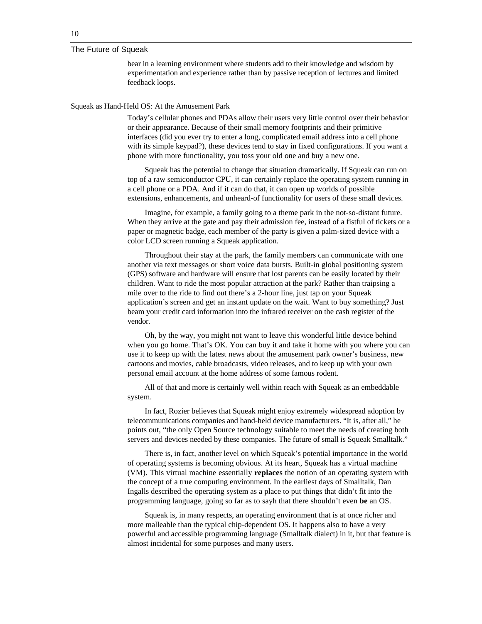bear in a learning environment where students add to their knowledge and wisdom by experimentation and experience rather than by passive reception of lectures and limited feedback loops.

#### Squeak as Hand-Held OS: At the Amusement Park

Today's cellular phones and PDAs allow their users very little control over their behavior or their appearance. Because of their small memory footprints and their primitive interfaces (did you ever try to enter a long, complicated email address into a cell phone with its simple keypad?), these devices tend to stay in fixed configurations. If you want a phone with more functionality, you toss your old one and buy a new one.

Squeak has the potential to change that situation dramatically. If Squeak can run on top of a raw semiconductor CPU, it can certainly replace the operating system running in a cell phone or a PDA. And if it can do that, it can open up worlds of possible extensions, enhancements, and unheard-of functionality for users of these small devices.

Imagine, for example, a family going to a theme park in the not-so-distant future. When they arrive at the gate and pay their admission fee, instead of a fistful of tickets or a paper or magnetic badge, each member of the party is given a palm-sized device with a color LCD screen running a Squeak application.

Throughout their stay at the park, the family members can communicate with one another via text messages or short voice data bursts. Built-in global positioning system (GPS) software and hardware will ensure that lost parents can be easily located by their children. Want to ride the most popular attraction at the park? Rather than traipsing a mile over to the ride to find out there's a 2-hour line, just tap on your Squeak application's screen and get an instant update on the wait. Want to buy something? Just beam your credit card information into the infrared receiver on the cash register of the vendor.

Oh, by the way, you might not want to leave this wonderful little device behind when you go home. That's OK. You can buy it and take it home with you where you can use it to keep up with the latest news about the amusement park owner's business, new cartoons and movies, cable broadcasts, video releases, and to keep up with your own personal email account at the home address of some famous rodent.

All of that and more is certainly well within reach with Squeak as an embeddable system.

In fact, Rozier believes that Squeak might enjoy extremely widespread adoption by telecommunications companies and hand-held device manufacturers. "It is, after all," he points out, "the only Open Source technology suitable to meet the needs of creating both servers and devices needed by these companies. The future of small is Squeak Smalltalk."

There is, in fact, another level on which Squeak's potential importance in the world of operating systems is becoming obvious. At its heart, Squeak has a virtual machine (VM). This virtual machine essentially **replaces** the notion of an operating system with the concept of a true computing environment. In the earliest days of Smalltalk, Dan Ingalls described the operating system as a place to put things that didn't fit into the programming language, going so far as to sayh that there shouldn't even **be** an OS.

Squeak is, in many respects, an operating environment that is at once richer and more malleable than the typical chip-dependent OS. It happens also to have a very powerful and accessible programming language (Smalltalk dialect) in it, but that feature is almost incidental for some purposes and many users.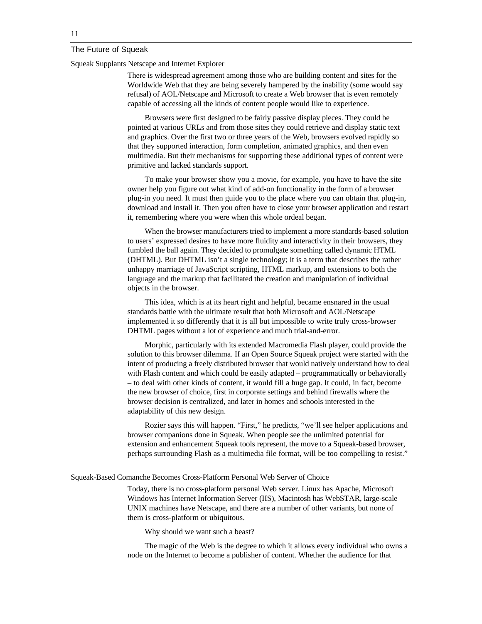Squeak Supplants Netscape and Internet Explorer

There is widespread agreement among those who are building content and sites for the Worldwide Web that they are being severely hampered by the inability (some would say refusal) of AOL/Netscape and Microsoft to create a Web browser that is even remotely capable of accessing all the kinds of content people would like to experience.

Browsers were first designed to be fairly passive display pieces. They could be pointed at various URLs and from those sites they could retrieve and display static text and graphics. Over the first two or three years of the Web, browsers evolved rapidly so that they supported interaction, form completion, animated graphics, and then even multimedia. But their mechanisms for supporting these additional types of content were primitive and lacked standards support.

To make your browser show you a movie, for example, you have to have the site owner help you figure out what kind of add-on functionality in the form of a browser plug-in you need. It must then guide you to the place where you can obtain that plug-in, download and install it. Then you often have to close your browser application and restart it, remembering where you were when this whole ordeal began.

When the browser manufacturers tried to implement a more standards-based solution to users' expressed desires to have more fluidity and interactivity in their browsers, they fumbled the ball again. They decided to promulgate something called dynamic HTML (DHTML). But DHTML isn't a single technology; it is a term that describes the rather unhappy marriage of JavaScript scripting, HTML markup, and extensions to both the language and the markup that facilitated the creation and manipulation of individual objects in the browser.

This idea, which is at its heart right and helpful, became ensnared in the usual standards battle with the ultimate result that both Microsoft and AOL/Netscape implemented it so differently that it is all but impossible to write truly cross-browser DHTML pages without a lot of experience and much trial-and-error.

Morphic, particularly with its extended Macromedia Flash player, could provide the solution to this browser dilemma. If an Open Source Squeak project were started with the intent of producing a freely distributed browser that would natively understand how to deal with Flash content and which could be easily adapted – programmatically or behaviorally – to deal with other kinds of content, it would fill a huge gap. It could, in fact, become the new browser of choice, first in corporate settings and behind firewalls where the browser decision is centralized, and later in homes and schools interested in the adaptability of this new design.

Rozier says this will happen. "First," he predicts, "we'll see helper applications and browser companions done in Squeak. When people see the unlimited potential for extension and enhancement Squeak tools represent, the move to a Squeak-based browser, perhaps surrounding Flash as a multimedia file format, will be too compelling to resist."

#### Squeak-Based Comanche Becomes Cross-Platform Personal Web Server of Choice

Today, there is no cross-platform personal Web server. Linux has Apache, Microsoft Windows has Internet Information Server (IIS), Macintosh has WebSTAR, large-scale UNIX machines have Netscape, and there are a number of other variants, but none of them is cross-platform or ubiquitous.

Why should we want such a beast?

The magic of the Web is the degree to which it allows every individual who owns a node on the Internet to become a publisher of content. Whether the audience for that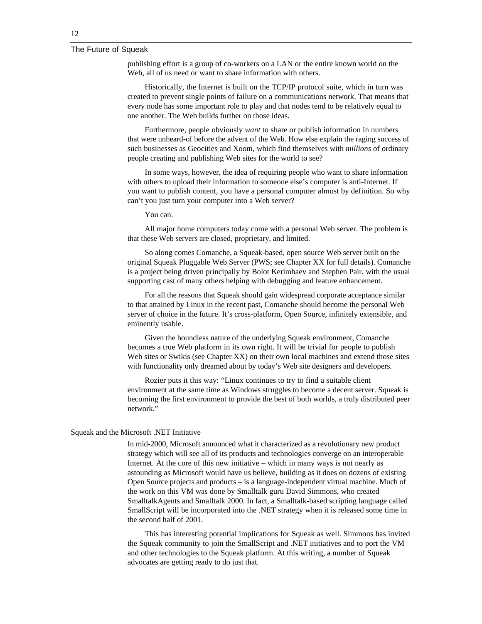publishing effort is a group of co-workers on a LAN or the entire known world on the Web, all of us need or want to share information with others.

Historically, the Internet is built on the TCP/IP protocol suite, which in turn was created to prevent single points of failure on a communications network. That means that every node has some important role to play and that nodes tend to be relatively equal to one another. The Web builds further on those ideas.

Furthermore, people obviously *want* to share or publish information in numbers that were unheard-of before the advent of the Web. How else explain the raging success of such businesses as Geocities and Xoom, which find themselves with *millions* of ordinary people creating and publishing Web sites for the world to see?

In some ways, however, the idea of requiring people who want to share information with others to upload their information to someone else's computer is anti-Internet. If you want to publish content, you have a personal computer almost by definition. So why can't you just turn your computer into a Web server?

You can.

All major home computers today come with a personal Web server. The problem is that these Web servers are closed, proprietary, and limited.

So along comes Comanche, a Squeak-based, open source Web server built on the original Squeak Pluggable Web Server (PWS; see Chapter XX for full details). Comanche is a project being driven principally by Bolot Kerimbaev and Stephen Pair, with the usual supporting cast of many others helping with debugging and feature enhancement.

For all the reasons that Squeak should gain widespread corporate acceptance similar to that attained by Linux in the recent past, Comanche should become the personal Web server of choice in the future. It's cross-platform, Open Source, infinitely extensible, and eminently usable.

Given the boundless nature of the underlying Squeak environment, Comanche becomes a true Web platform in its own right. It will be trivial for people to publish Web sites or Swikis (see Chapter XX) on their own local machines and extend those sites with functionality only dreamed about by today's Web site designers and developers.

Rozier puts it this way: "Linux continues to try to find a suitable client environment at the same time as Windows struggles to become a decent server. Squeak is becoming the first environment to provide the best of both worlds, a truly distributed peer network."

## Squeak and the Microsoft .NET Initiative

In mid-2000, Microsoft announced what it characterized as a revolutionary new product strategy which will see all of its products and technologies converge on an interoperable Internet. At the core of this new initiative – which in many ways is not nearly as astounding as Microsoft would have us believe, building as it does on dozens of existing Open Source projects and products – is a language-independent virtual machine. Much of the work on this VM was done by Smalltalk guru David Simmons, who created SmalltalkAgents and Smalltalk 2000. In fact, a Smalltalk-based scripting language called SmallScript will be incorporated into the .NET strategy when it is released some time in the second half of 2001.

This has interesting potential implications for Squeak as well. Simmons has invited the Squeak community to join the SmallScript and .NET initiatives and to port the VM and other technologies to the Squeak platform. At this writing, a number of Squeak advocates are getting ready to do just that.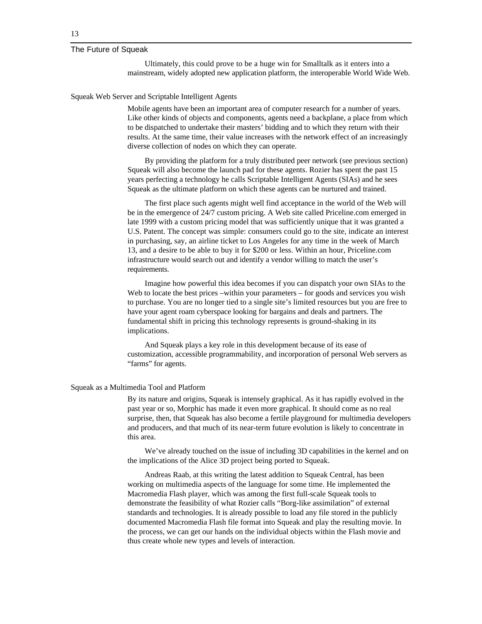Ultimately, this could prove to be a huge win for Smalltalk as it enters into a mainstream, widely adopted new application platform, the interoperable World Wide Web.

#### Squeak Web Server and Scriptable Intelligent Agents

Mobile agents have been an important area of computer research for a number of years. Like other kinds of objects and components, agents need a backplane, a place from which to be dispatched to undertake their masters' bidding and to which they return with their results. At the same time, their value increases with the network effect of an increasingly diverse collection of nodes on which they can operate.

By providing the platform for a truly distributed peer network (see previous section) Squeak will also become the launch pad for these agents. Rozier has spent the past 15 years perfecting a technology he calls Scriptable Intelligent Agents (SIAs) and he sees Squeak as the ultimate platform on which these agents can be nurtured and trained.

The first place such agents might well find acceptance in the world of the Web will be in the emergence of 24/7 custom pricing. A Web site called Priceline.com emerged in late 1999 with a custom pricing model that was sufficiently unique that it was granted a U.S. Patent. The concept was simple: consumers could go to the site, indicate an interest in purchasing, say, an airline ticket to Los Angeles for any time in the week of March 13, and a desire to be able to buy it for \$200 or less. Within an hour, Priceline.com infrastructure would search out and identify a vendor willing to match the user's requirements.

Imagine how powerful this idea becomes if you can dispatch your own SIAs to the Web to locate the best prices –within your parameters – for goods and services you wish to purchase. You are no longer tied to a single site's limited resources but you are free to have your agent roam cyberspace looking for bargains and deals and partners. The fundamental shift in pricing this technology represents is ground-shaking in its implications.

And Squeak plays a key role in this development because of its ease of customization, accessible programmability, and incorporation of personal Web servers as "farms" for agents.

#### Squeak as a Multimedia Tool and Platform

By its nature and origins, Squeak is intensely graphical. As it has rapidly evolved in the past year or so, Morphic has made it even more graphical. It should come as no real surprise, then, that Squeak has also become a fertile playground for multimedia developers and producers, and that much of its near-term future evolution is likely to concentrate in this area.

We've already touched on the issue of including 3D capabilities in the kernel and on the implications of the Alice 3D project being ported to Squeak.

Andreas Raab, at this writing the latest addition to Squeak Central, has been working on multimedia aspects of the language for some time. He implemented the Macromedia Flash player, which was among the first full-scale Squeak tools to demonstrate the feasibility of what Rozier calls "Borg-like assimilation" of external standards and technologies. It is already possible to load any file stored in the publicly documented Macromedia Flash file format into Squeak and play the resulting movie. In the process, we can get our hands on the individual objects within the Flash movie and thus create whole new types and levels of interaction.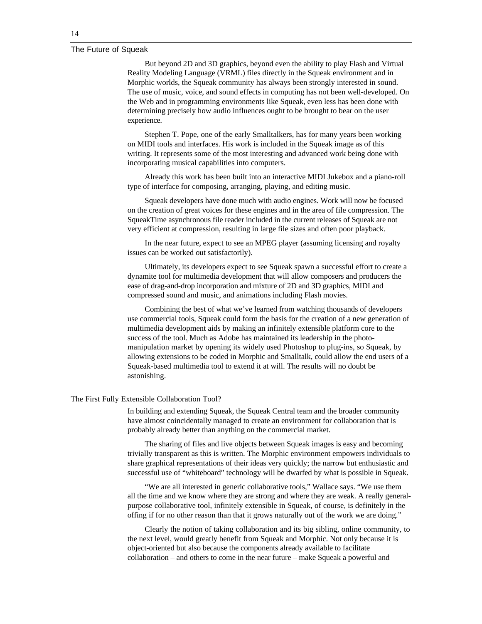But beyond 2D and 3D graphics, beyond even the ability to play Flash and Virtual Reality Modeling Language (VRML) files directly in the Squeak environment and in Morphic worlds, the Squeak community has always been strongly interested in sound. The use of music, voice, and sound effects in computing has not been well-developed. On the Web and in programming environments like Squeak, even less has been done with determining precisely how audio influences ought to be brought to bear on the user experience.

Stephen T. Pope, one of the early Smalltalkers, has for many years been working on MIDI tools and interfaces. His work is included in the Squeak image as of this writing. It represents some of the most interesting and advanced work being done with incorporating musical capabilities into computers.

Already this work has been built into an interactive MIDI Jukebox and a piano-roll type of interface for composing, arranging, playing, and editing music.

Squeak developers have done much with audio engines. Work will now be focused on the creation of great voices for these engines and in the area of file compression. The SqueakTime asynchronous file reader included in the current releases of Squeak are not very efficient at compression, resulting in large file sizes and often poor playback.

In the near future, expect to see an MPEG player (assuming licensing and royalty issues can be worked out satisfactorily).

Ultimately, its developers expect to see Squeak spawn a successful effort to create a dynamite tool for multimedia development that will allow composers and producers the ease of drag-and-drop incorporation and mixture of 2D and 3D graphics, MIDI and compressed sound and music, and animations including Flash movies.

Combining the best of what we've learned from watching thousands of developers use commercial tools, Squeak could form the basis for the creation of a new generation of multimedia development aids by making an infinitely extensible platform core to the success of the tool. Much as Adobe has maintained its leadership in the photomanipulation market by opening its widely used Photoshop to plug-ins, so Squeak, by allowing extensions to be coded in Morphic and Smalltalk, could allow the end users of a Squeak-based multimedia tool to extend it at will. The results will no doubt be astonishing.

#### The First Fully Extensible Collaboration Tool?

In building and extending Squeak, the Squeak Central team and the broader community have almost coincidentally managed to create an environment for collaboration that is probably already better than anything on the commercial market.

The sharing of files and live objects between Squeak images is easy and becoming trivially transparent as this is written. The Morphic environment empowers individuals to share graphical representations of their ideas very quickly; the narrow but enthusiastic and successful use of "whiteboard" technology will be dwarfed by what is possible in Squeak.

"We are all interested in generic collaborative tools," Wallace says. "We use them all the time and we know where they are strong and where they are weak. A really generalpurpose collaborative tool, infinitely extensible in Squeak, of course, is definitely in the offing if for no other reason than that it grows naturally out of the work we are doing."

Clearly the notion of taking collaboration and its big sibling, online community, to the next level, would greatly benefit from Squeak and Morphic. Not only because it is object-oriented but also because the components already available to facilitate collaboration – and others to come in the near future – make Squeak a powerful and